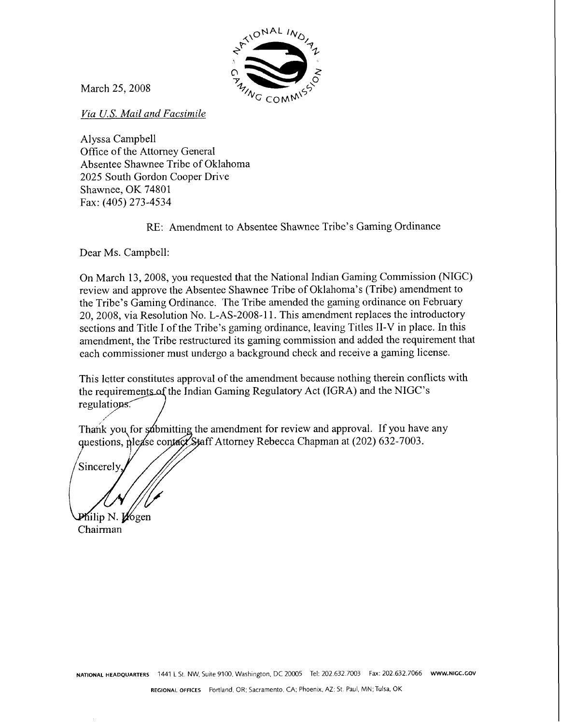

March 25,2008

*Via U.S. Mail and Facsimile* 

Alyssa Campbell Office of the Attomey General Absentee Shawnee Tribe of Oklahoma 2025 South Gordon Cooper Drive Shawnee, OK 74801 Fax: (405) 273-4534

RE: Amendment to Absentee Shawnee Tribe's Gaming Ordinance

Dear Ms. Campbell:

On March 13,2008, you requested that the National Indian Gaming Commission (NIGC) review and approve the Absentee Shawnee Tribe of Oklahoma's (Tribe) amendment to the Tribe's Gaming Ordinance. The Tribe amended the gaming ordinance on February 20, 2008, via Resolution No. L-AS-2008-11. This amendment replaces the introductory sections and Title I of the Tribe's gaming ordinance, leaving Titles 11-V in place. In this amendment, the Tribe restructured its gaming commission and added the requirement that each commissioner must undergo a background check and receive a gaming license.

This letter constitutes approval of the amendment because nothing therein conflicts with the requirements of the Indian Gaming Regulatory Act (IGRA) and the NIGC's regulations.

Thank you for sombtating the amendment for review and approval. If you have any questions, please contact Staff Attorney Rebecca Chapman at (202) 632-7003.

Sincerely

Philip N. Vogen Chairman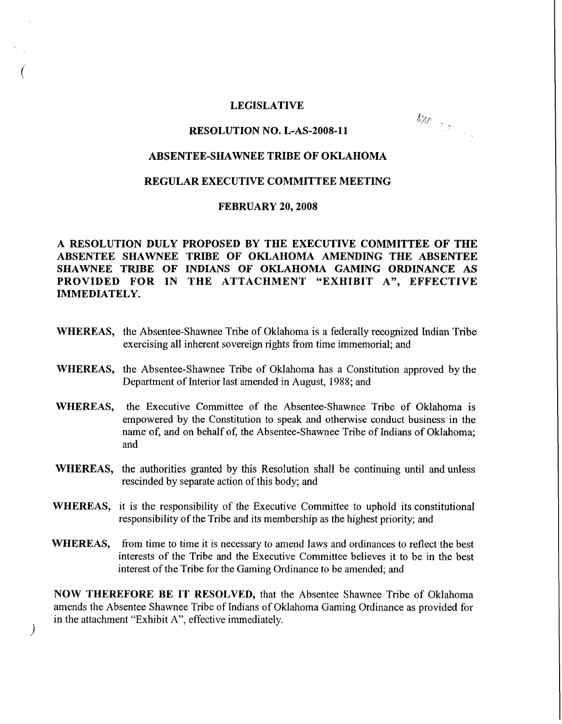#### **LEGISLATIVE**

#### **RESOLUTION NO. L-AS-2008-11**

**MAD** - 7 (2) - 22 (2)

### **ABSENTEE-SHAWNEE TRIBE OF OKLAHOMA**

### **REGULAR EXECUTIVE COMMITTEE MEETING**

### **FEBRUARY 20,2008**

# **A RESOLUTION DULY PROPOSED BY THE EXECUTIVE COMMITTEE OF THE ABSENTEE SHAWNEE TRIBE OF OKLAHOMA AMENDING THE ABSENTEE SHAWNEE TRIBE OF INDIANS OF OKLAHOMA GAMING ORDINANCE AS PROVIDED FOR IN THE ATTACHMENT "EXHIBIT A", EFFECTIVE IMMEDIATELY.**

- **WHEREAS,** the Absentee-Shawnee Tribe of Oklahoma is a federally recognized Indian Tribe exercising all inherent sovereign rights from time immemorial; and
- **WHEREAS,** the Absentee-Shawnee Tribe of Oklahoma has a Constitution approved by the Department of Interior last amended in August, 1988; and
- **WHEREAS,** the Executive Committee of the Absentee-Shawnee Tribe of Oklahoma is empowered by the Constitution to speak and otherwise conduct business in the name of, and on behalf of, the Absentee-Shawnee Tribe of Indians of Oklahoma; and
- **WHEREAS,** the authorities granted by this Resolution shall be continuing until and unless rescinded by separate action of this body; and
- **WHEREAS,** it is the responsibility of the Executive Committee to uphold its constitutional responsibility of the Tribe and its membership as the highest priority; and
- WHEREAS, from time to time it is necessary to amend laws and ordinances to reflect the best interests of the Tribe and the Executive Committee believes it to be in the best interest of the Tribe for the Gaming Ordinance to be amended; and

**NOW THEREFORE BE IT RESOLVED,** that the Absentee Shawnee Tribe of Oklahoma amends the Absentee Shawnee Tribe of Indians of Oklahoma Gaming Ordinance as provided for in the attachment "Exhibit A", effective immediately.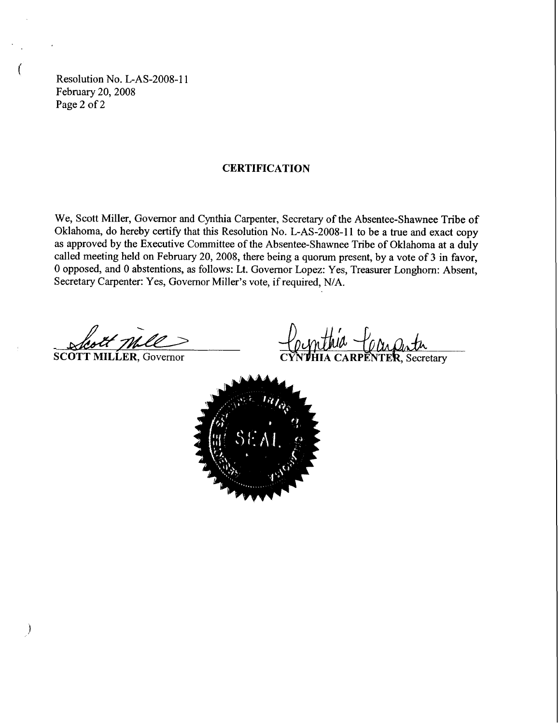Resolution No. L-AS-2008-11 February 20,2008 Page 2 of 2

# **CERTIFICATION**

We, Scott Miller, Governor and Cynthia Carpenter, Secretary of the Absentee-Shawnee Tribe of Oklahoma, do hereby certify that this Resolution No. L-AS-2008-11 to be a true and exact copy as approved by the Executive Committee of the Absentee-Shawnee Tribe of Oklahoma at a duly called meeting held on February 20, 2008, there being a quorum present, by a vote of **3** in favor, 0 opposed, and 0 abstentions, as follows: Lt. Governor Lopez: Yes, Treasurer Longhorn: Absent, Secretary Carpenter: Yes, Governor Miller's vote, if required, N/A.

SCOTT MILLER, Governor

Secretary

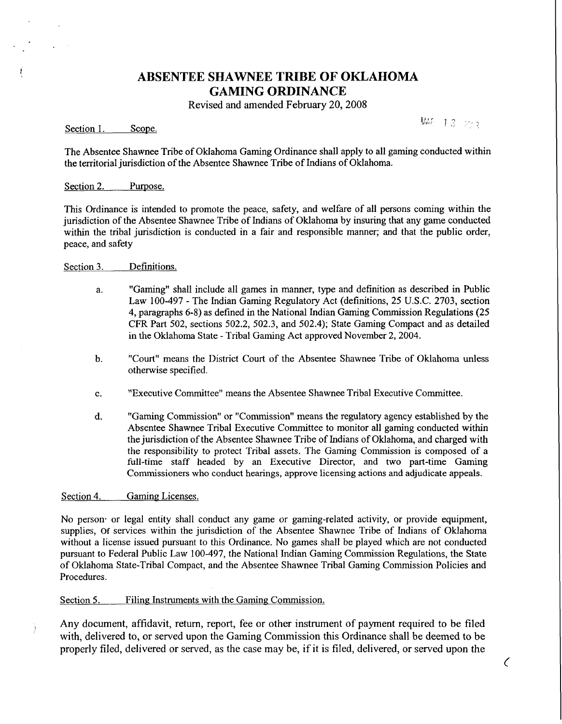# **ABSENTEE SHAWNEE TRIBE OF OKLAHOMA GAMING ORDINANCE**

Revised and amended February 20,2008

Section 1. Scope.

MAR 13 273

 $\zeta$ 

The Absentee Shawnee Tribe of Oklahoma Gaming Ordinance shall apply to all gaming conducted within the territorial jurisdiction of the Absentee Shawnee Tribe of Indians of Oklahoma.

#### Section 2. Purpose.

This Ordinance is intended to promote the peace, safety, and welfare of all persons coming within the jurisdiction of the Absentee Shawnee Tribe of Indians of Oklahoma by insuring that any game conducted within the tribal jurisdiction is conducted in a fair and responsible manner; and that the public order, peace, and safety

- Section **3.** Definitions.
	- a. "Gaming" shall include all games in manner, type and definition as described in Public Law 100-497 - The Indian Gaming Regulatory Act (definitions, 25 U.S.C. 2703, section 4, paragraphs 6-8) as defined in the National Indian Gaming Commission Regulations (25 CFR Part 502, sections 502.2, 502.3, and 502.4); State Gaming Compact and as detailed in the Oklahoma State - Tribal Gaming Act approved November 2,2004.
	- b. "Court" means the Ilistrict Court of the Absentee Shawnee Tribe of Oklahoma unless otherwise specified.
	- c. "Executive Committee" means the Absentee Shawnee Tribal Executive Committee.
	- d. "Gaming Commission" or "Commission" means the regulatory agency established by the Absentee Shawnee Tribal Executive Committee to monitor all gaming conducted within the jurisdiction of the Absentee Shawnee Tribe of Indians of Oklahoma, and charged with the responsibility to protect Tribal assets. The Gaming Commission is composed of a full-time staff headed by an Executive Director, and two part-time Gaming Commissioners who conduct hearings, approve licensing actions and adjudicate appeals.

Section 4. Gaming Licenses.

Ĵ.

No person- or legal entity shall conduct any game or gaming-related activity, or provide equipment, supplies, **of** services within the jurisdiction of the Absentee Shawnee Tribe of Indians of Oklahoma without a license issued pursuant to this Ordinance. No games shall be played which are not conducted pursuant to Federal Public Law 100-497, the National Indian Gaming Commission Regulations, the State of Oklahoma State-Tribal Compact, and the Absentee Shawnee Tribal Gaming Commission Policies and Procedures.

#### Section 5. Filing Instruments with the Gaming Commission.

Any document, affidavit, return, report, fee or other instrument of payment required to be filed with, delivered to, or served upon the Gaming Commission this Ordinance shall be deemed to be properly filed, delivered or served, as the case may be, if it is filed, delivered, or served upon the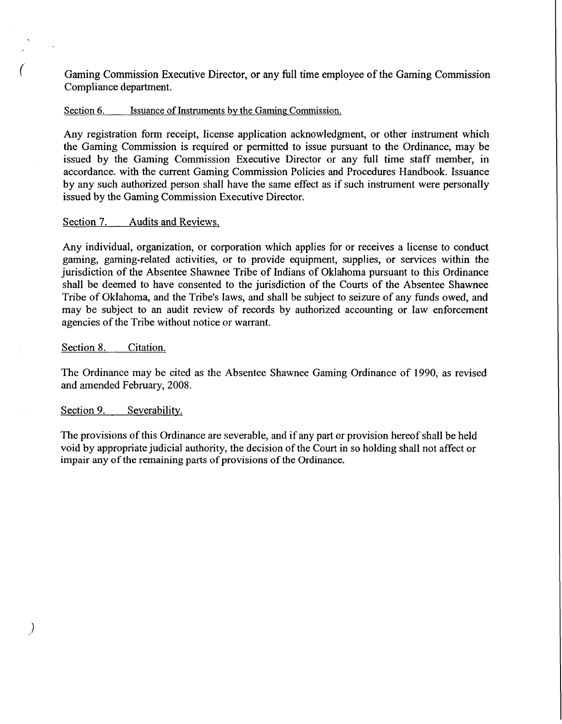Gaming Commission Executive Director, or any full time employee of the Gaming Commission Compliance department.

### Section 6. Section 6. Issuance of Instruments by the Gaming Commission.

Any registration form receipt, license application acknowledgment, or other instrument which the Gaming Commission is required or permitted to issue pursuant to the Ordinance, may be issued by the Gaming Commission Executive Director or any full time staff member, in accordance. with the current Gaming Commission Policies and Procedures Handbook. Issuance by any such authorized person shall have the same effect as if such instrument were personally issued by the Gaming Commission Executive Director.

#### Section 7. Audits and Reviews.

Any individual, organization, or corporation which applies for or receives a license to conduct gaming, gaming-related activities, or to provide equipment, supplies, or services within the jurisdiction of the Absentee Shawnee Tribe of Indians of Oklahoma pursuant to this Ordinance shall be deemed to have consented to the jurisdiction of the Courts of the Absentee Shawnee Tribe of Oklahoma, and the Tribe's laws, and shall be subject to seizure of any funds owed, and may be subject to an audit review of records by authorized accounting or law enforcement agencies of the Tribe without notice or warrant.

### Section 8. Citation.

The Ordinance may be cited as the Absentee Shawnee Gaming Ordinance of 1990, as revised and amended February, 2008.

### Section 9. Severability.

 $\big)$ 

The provisions of this Ordinance are severable, and if any part or provision hereof shall be held void by appropriate judicial authority, the decision of the Court in so holding shall not affect or impair any of the remaining parts of provisions of the Ordinance.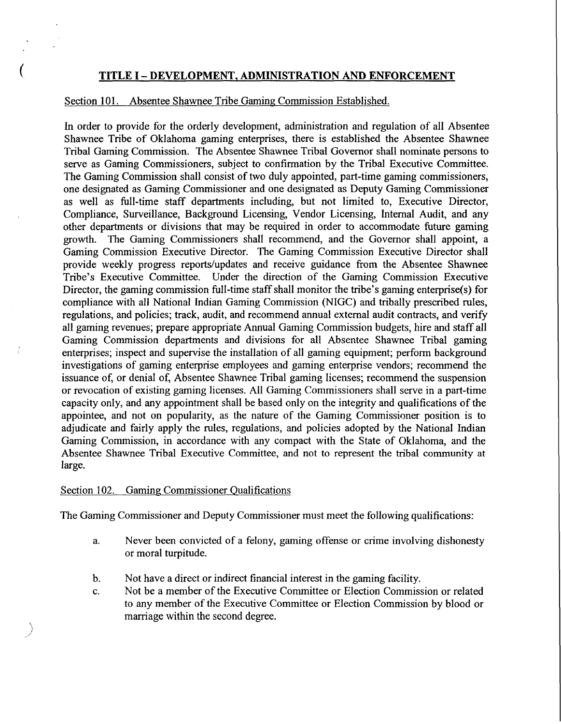# **TITLE I** - **DEVELOPMENT, ADMINISTRATION AND ENFORCEMENT**

# Section 101. Absentee Shawnee Tribe Gaming Commission Established.

In order to provide for the orderly development, administration and regulation of all Absentee Shawnee Tribe of Oklahoma gaming enterprises, there is established the Absentee Shawnee Tribal Gaming Commission. The Absentee Shawnee Tribal Governor shall nominate persons to serve as Gaming Commissioners, subject to confirmation by the Tribal Executive Committee. The Gaming Commission shall consist of two duly appointed, part-time gaming commissioners, one designated as Gaming Commissioner and one designated as Deputy Gaming Commissioner as well as full-time staff departments including, but not limited to, Executive Director, Compliance, Surveillance, Background Licensing, Vendor Licensing, Internal Audit, and any other departments or divisions that may be required in order to accommodate future gaming growth. The Gaming Commissioners shall recommend, and the Governor shall appoint, a Gaming Commission Executive Director. The Gaming Commission Executive Director shall provide weekly progress reports/updates and receive guidance from the Absentee Shawnee Tribe's Executive Committee. Under the direction of the Gaming Commission Executive Director, the gaming commission full-time staff shall monitor the tribe's gaming enterprise(s) for compliance with all National Indian Gaming Commission (NIGC) and tribally prescribed rules, regulations, and policies; track, audit, and recommend annual external audit contracts, and verify all gaming revenues; prepare appropriate Annual Gaming Commission budgets, hire and staff all Gaming Commission departments and divisions for all Absentee Shawnee Tribal gaming enterprises; inspect and supervise the installation of all gaming equipment; perform background investigations of gaming enterprise employees and gaming enterprise vendors; recommend the issuance of, or denial of, Absentee Shawnee Tribal gaming licenses; recommend the suspension or revocation of existing gaming licenses. All Gaming Commissioners shall serve in a part-time capacity only, and any appointment shall be based only on the integrity and qualifications of the appointee, and not on popularity, as the nature of the Gaming Commissioner position is to adjudicate and fairly apply the rules, regulations, and policies adopted by the National Indian Gaming Commission, in accordance with any compact with the State of Oklahoma, and the Absentee Shawnee Tribal Executive Committee, and not to represent the tribal community at large.

## Section 102. Gaming Commissioner Qualifications

The Gaming Commissioner and Deputy Commissioner must meet the following qualifications:

- a. Never been convicted of a felony, gaming offense or crime involving dishonesty or moral turpitude.
- b. Not have a direct or indirect financial interest in the gaming facility.
- c. Not be a member of the Executive Committee or Election Commission or related to any member of the Executive Committee or Election Commission by blood or marriage within the second degree.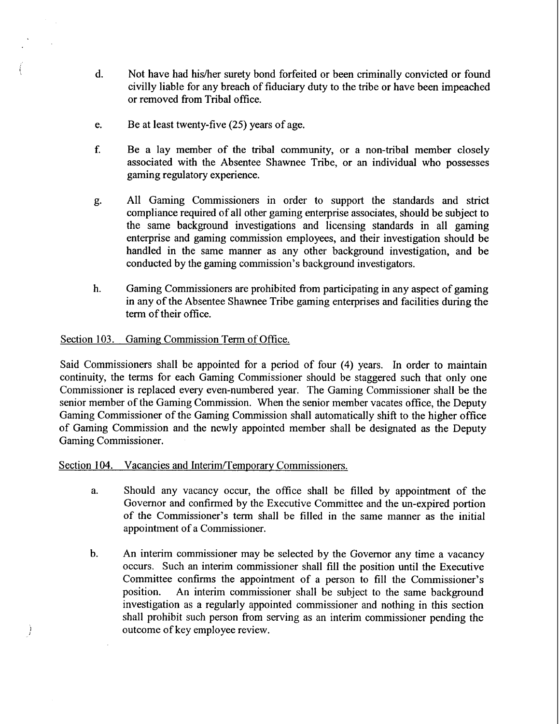- d. Not have had hislher surety bond forfeited or been criminally convicted or found civilly liable for any breach of fiduciary duty to the tribe or have been impeached or removed from Tribal office.
- e. Be at least twenty-five (25) years of age.
- f. Be a lay member of the tribal community, or a non-tribal member closely associated with the Absentee Shawnee Tribe, or an individual who possesses gaming regulatory experience.
- g. All Gaming Commissioners in order to support the standards and strict compliance required of all other gaming enterprise associates, should be subject to the same background investigations and licensing standards in all gaming enterprise and gaming commission employees, and their investigation should be handled in the same manner as any other background investigation, and be conducted by the gaming commission's background investigators.
- h. Gaming Commissioners are prohibited from participating in any aspect of gaming in any of the Absentee Shawnee Tribe gaming enterprises and facilities during the term of their office.

# Section 103. Gaming Commission Term of Office.

Ì

Said Commissioners shall be appointed for a period of four (4) years. In order to maintain continuity, the terms for each Gaming Commissioner should be staggered such that only one Commissioner is replaced every even-numbered year. The Gaming Commissioner shall be the senior member of the Gaming Commission. When the senior member vacates office, the Deputy Gaming Commissioner of the Gaming Commission shall automatically shift to the higher office of Gaming Commission and the newly appointed member shall be designated as the Deputy Gaming Commissioner.

## Section 104. Vacancies and Interim/Temporary Commissioners.

- a. Should any vacancy occur, the office shall be filled by appointment of the Governor and confirmed by the Executive Committee and the un-expired portion of the Commissioner's term shall be filled in the same manner as the initial appointment of a Commissioner.
- b. An interim commissioner may be selected by the Governor any time a vacancy occurs. Such an interim commissioner shall fill the position until the Executive Committee confirms the appointment of a person to fill the Commissioner's position. An interim commissioner shall be subject to the same background investigation as a regularly appointed commissioner and nothing in this section shall prohibit such person from serving as an interim commissioner pending the outcome of key employee review.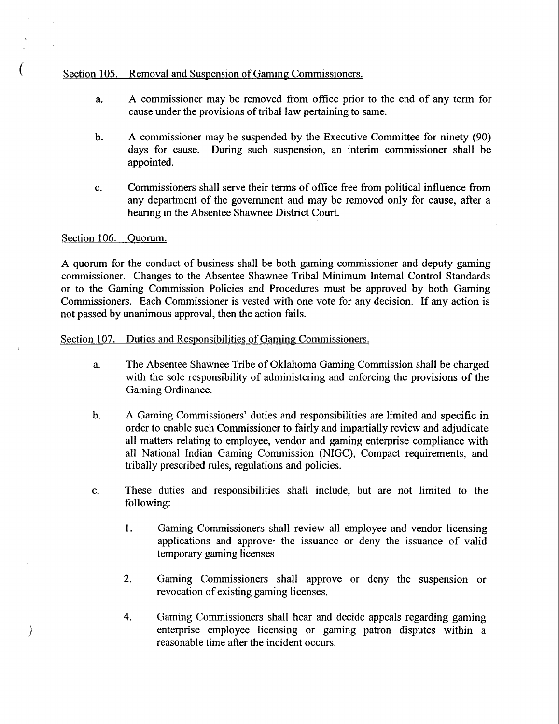# Section 105. Removal and Suspension of Gaming Commissioners.

- a. A commissioner may be removed fiom office prior to the end of any term for cause under the provisions of tribal law pertaining to same.
- **b.** A commissioner may be suspended by the Executive Committee for ninety (90) days for cause. During such suspension, an interim commissioner shall be appointed.
- c. Commissioners shall serve their terms of office free from political influence from any department of the government and may be removed only for cause, after a hearing in the Absentee Shawnee District Court.

# Section 106. Ouorum.

 $\mathcal{Y}$ 

A quorum for the conduct of business shall be both gaming commissioner and deputy gaming commissioner. Changes to the Absentee Shawnee Tribal Minimum Internal Control Standards or to the Gaming Commission Policies and Procedures must be approved by both Gaming Commissioners. Each Commissioner is vested with one vote for any decision. If any action is not passed by unanimous approval, then the action fails.

# Section 107. Duties and Responsibilities of Gaming Commissioners.

- a. The Absentee Shawnee Tribe of Oklahoma Gaming Commission shall be charged with the sole responsibility of administering and enforcing the provisions of the Gaming Ordinance.
- b. A Gaming Commissioners' duties and responsibilities are limited and specific in order to enable such Commissioner to fairly and impartially review and adjudicate all matters relating to employee, vendor and gaming enterprise compliance with all National Indian Gaming Commission (NIGC), Compact requirements, and tribally prescribed rules, regulations and policies.
- c. These duties and responsibilities shall include, but are not limited to the following:
	- 1. Gaming Commissioners shall review all employee and vendor licensing applications and approve- the issuance or deny the issuance of valid temporary gaming licenses
	- 2. Gaming Commissioners shall approve or deny the suspension or revocation of existing gaming licenses.
	- 4. Gaming Commissioners shall hear and decide appeals regarding gaming enterprise employee licensing or gaming patron disputes within a reasonable time after the incident occurs.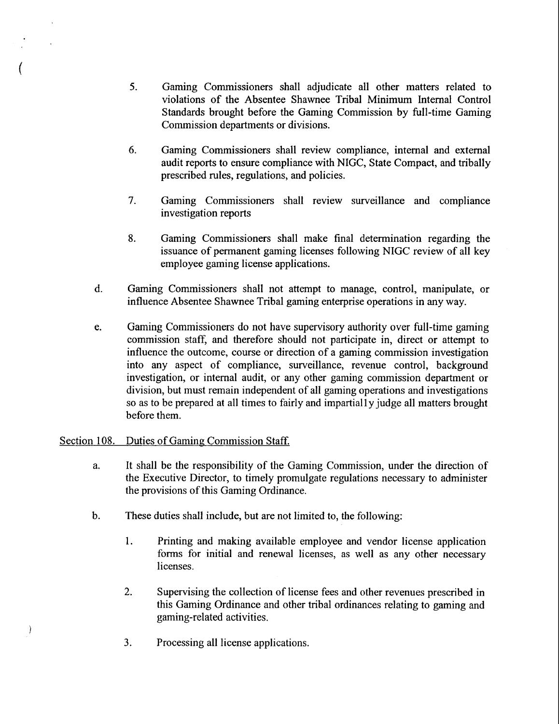- 5. Gaming Commissioners shall adjudicate all other matters related to violations of the Absentee Shawnee Tribal Minimum Internal Control Standards brought before the Gaming Commission by full-time Gaming Commission departments or divisions.
- **6.** Gaming Commissioners shall review compliance, internal and external audit reports to ensure compliance with NIGC, State Compact, and tribally prescribed rules, regulations, and policies.
- 7. Gaming Commissioners shall review surveillance and compliance investigation reports
- **8.** Gaming Commissioners shall make final determination regarding the issuance of permanent gaming licenses following NIGC review of all key employee gaming license applications.
- d. Gaming Commissioners shall not attempt to manage, control, manipulate, or influence Absentee Shawnee Tribal gaming enterprise operations in any way.
- e. Gaming Commissioners do not have supervisory authority over full-time gaming commission staff, and therefore should not participate in, direct or attempt to influence the outcome, course or direction of a gaming commission investigation into any aspect of compliance, surveillance, revenue control, background investigation, or internal audit, or any other gaming commission department or division, but must remain independent of all gaming operations and investigations so as to be prepared at all times to fairly and impartially judge all matters brought before them.

# Section 108. Duties of Gaming Commission Staff.

€

- a. It shall be the responsibility of the Gaming Commission, under the direction of the Executive Director, to timely promulgate regulations necessary to administer the provisions of this Gaming Ordinance.
- b. These duties shall include, but are not limited to, the following:
	- 1. Printing and making available employee and vendor license application forms for initial and renewal licenses, as well as any other necessary licenses.
	- 2. Supervising the collection of license fees and other revenues prescribed in this Gaming Ordinance and other tribal ordinances relating to gaming and gaming-related activities.
	- **3.** Processing all license applications.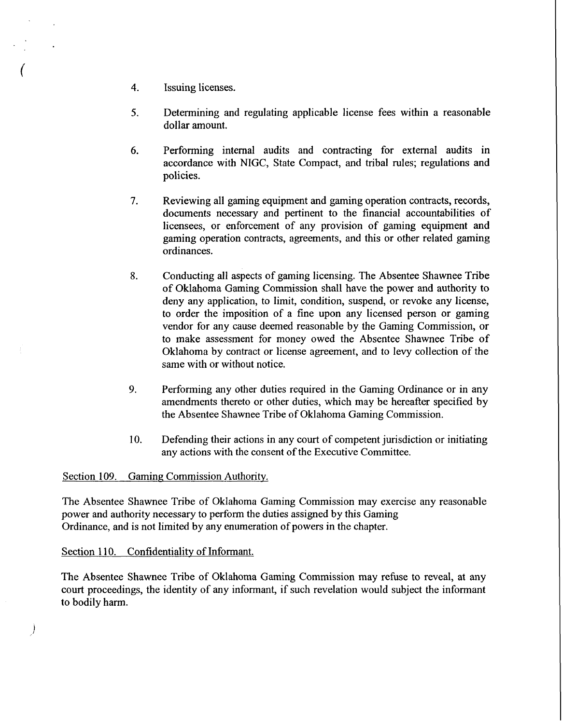- 4. Issuing licenses.
- **5.** Determining and regulating applicable license fees within a reasonable dollar amount.
- 6. Performing internal audits and contracting for external audits in accordance with NIGC, State Compact, and tribal rules; regulations and policies.
- 7. Reviewing all gaming equipment and gaming operation contracts, records, documents necessary and pertinent to the financial accountabilities of licensees, or enforcement of any provision of gaming equipment and gaming operation contracts, agreements, and this or other related gaming ordinances.
- **8.** Conducting all aspects of gaming licensing. The Absentee Shawnee Tribe of Oklahoma Gaming Commission shall have the power and authority to deny any application, to limit, condition, suspend, or revoke any license, to order the imposition of a fine upon any licensed person or gaming vendor for any cause deemed reasonable by the Gaming Commission, or to make assessment for money owed the Absentee Shawnee Tribe of Oklahoma by contract or license agreement, and to levy collection of the same with or without notice.
- **9.** Performing any other duties required in the Gaming Ordinance or in any amendments thereto or other duties, which may be hereafter specified by the Absentee Shawnee Tribe of Oklahoma Gaming Commission.
- **10.** Defending their actions in any court of competent jurisdiction or initiating any actions with the consent of the Executive Committee.

## Section **109.** Gaming Commission Authority.

The Absentee Shawnee Tribe of Oklahoma Gaming Commission may exercise any reasonable power and authority necessary to perform the duties assigned by this Gaming Ordinance, and is not limited by any enumeration of powers in the chapter.

## Section 110. Confidentiality of Informant.

 $\cdot$ 

The Absentee Shawnee Tribe of Oklahoma Gaming Commission may refuse to reveal, at any court proceedings, the identity of any informant, if such revelation would subject the informant to bodily harm.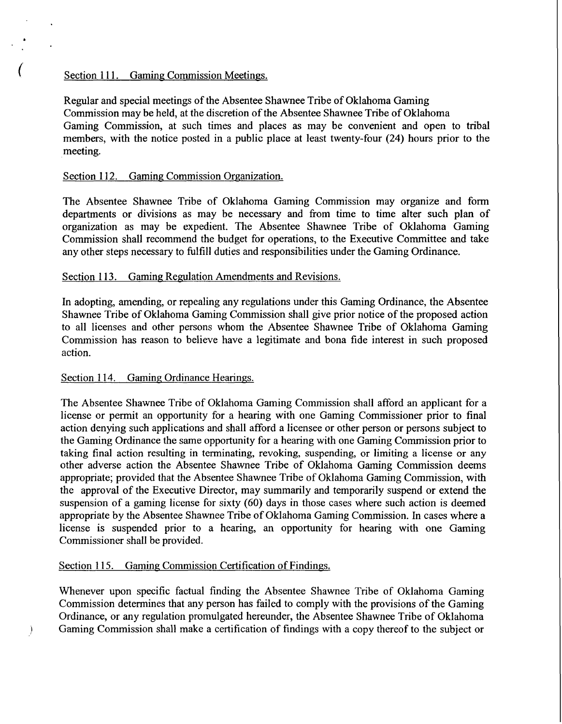# Section 111. Gaming Commission Meetings.

Regular and special meetings of the Absentee Shawnee Tribe of Oklahoma Gaming Commission may be held, at the discretion of the Absentee Shawnee Tribe of Oklahoma Gaming Commission, at such times and places as may be convenient and open to tribal members, with the notice posted in a public place at least twenty-four **(24)** hours prior to the meeting.

# Section 112. Gaming Commission Organization.

The Absentee Shawnee Tribe of Oklahoma Gaming Commission may organize and form departments or divisions as may be necessary and from time to time alter such plan of organization as may be expedient. The Absentee Shawnee Tribe of Oklahoma Gaming Commission shall recommend the budget for operations, to the Executive Committee and take any other steps necessary to fulfill duties and responsibilities under the Gaming Ordinance.

# Section 113. Gaming Regulation Amendments and Revisions.

In adopting, amending, or repealing any regulations under this Gaming Ordinance, the Absentee Shawnee Tribe of Oklahoma Gaming Commission shall give prior notice of the proposed action to all licenses and other persons whom the Absentee Shawnee Tribe of Oklahoma Gaming Commission has reason to believe have a legitimate and bona fide interest in such proposed action.

## Section 114. Gaming Ordinance Hearings.

The Absentee Shawnee Tribe of Oklahoma Gaming Commission shall afford an applicant for a license or permit an opportunity for a hearing with one Gaming Commissioner prior to final action denying such applications and shall afford a licensee or other person or persons subject to the Gaming Ordinance the same opportunity for a hearing with one Gaming Commission prior to taking final action resulting in terminating, revoking, suspending, or limiting a license or any other adverse action the Absentee Shawnee Tribe of Oklahoma Gaming Commission deems appropriate; provided that the Absentee Shawnee Tribe of Oklahoma Gaming Commission, with the approval of the Executive Director, may summarily and temporarily suspend or extend the suspension of a gaming license for sixty (60) days in those cases where such action is deemed appropriate by the Absentee Shawnee Tribe of Oklahoma Gaming Commission. In cases where a license is suspended prior to a hearing, an opportunity for hearing with one Gaming Commissioner shall be provided.

# Section 115. Gaming Commission Certification of Findings.

Whenever upon specific factual finding the Absentee Shawnee Tribe of Oklahoma Gaming Commission determines that any person has failed to comply with the provisions of the Gaming Ordinance, or any regulation promulgated hereunder, the Absentee Shawnee Tribe of Oklahoma : Gaming Commission shall make a certification of findings with a copy thereof to the subject or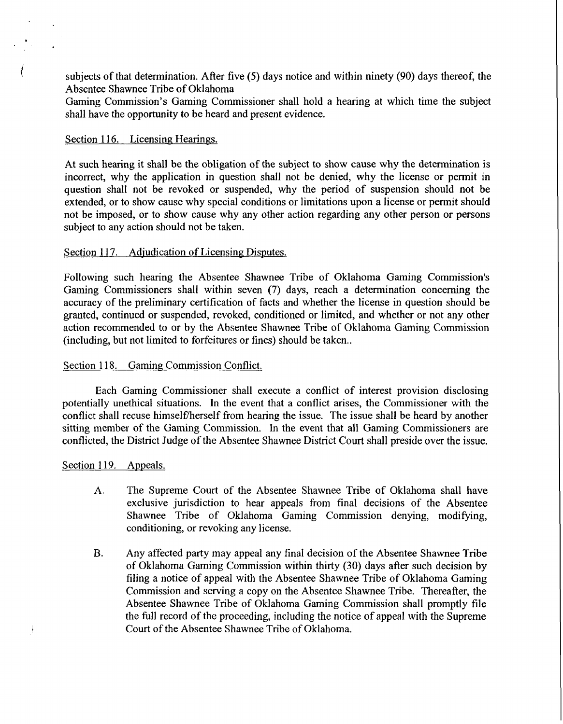subjects of that determination. After five  $(5)$  days notice and within ninety  $(90)$  days thereof, the Absentee Shawnee Tribe of Oklahoma

Gaming Commission's Gaming Commissioner shall hold a hearing at which time the subject shall have the opportunity to be heard and present evidence.

### Section 116. Licensing Hearings.

At such hearing it shall be the obligation of the subject to show cause why the determination is incorrect, why the application in question shall not be denied, why the license or permit in question shall not be revoked or suspended, why the period of suspension should not be extended, or to show cause why special conditions or limitations upon a license or permit should not be imposed, or to show cause why any other action regarding any other person or persons subject to any action should not be taken.

### Section 117. Adjudication of Licensing Disputes.

Following such hearing the Absentee Shawnee Tribe of Oklahoma Gaming Commission's Gaming Commissioners shall within seven (7) days, reach a determination concerning the accuracy of the preliminary certification of facts and whether the license in question should be granted, continued or suspended, revoked, conditioned or limited, and whether or not any other action recommended to or by the Absentee Shawnee Tribe of Oklahoma Gaming Commission (including, but not limited to forfeitures or fines) should be taken..

### Section 118. Gaming Commission Conflict.

Each Gaming Commissioner shall execute a conflict of interest provision disclosing potentially unethical situations. In the event that a conflict arises, the Commissioner with the conflict shall recuse himself/herself from hearing the issue. The issue shall be heard by another sitting member of the Gaming Commission. In the event that all Gaming Commissioners are conflicted, the District Judge of the Absentee Shawnee District Court shall preside over the issue.

### Section 119. Appeals.

 $\frac{1}{2}$ 

- A. The Supreme Court of the Absentee Shawnee Tribe of Oklahoma shall have exclusive jurisdiction to hear appeals from final decisions of the Absentee Shawnee Tribe of Oklahoma Gaming Commission denying, modifying, conditioning, or revoking any license.
- **B.** Any affected party may appeal any final decision of the Absentee Shawnee Tribe of Oklahoma Gaming Commission within thirty (30) days after such decision by filing a notice of appeal with the Absentee Shawnee Tribe of Oklahoma Gaming Commission and serving a copy on the Absentee Shawnee Tribe. Thereafter, the Absentee Shawnee Tribe of Oklahoma Gaming Commission shall promptly file the full record of the proceeding, including the notice of appeal with the Supreme Court of the Absentee Shawnee Tribe of Oklahoma.